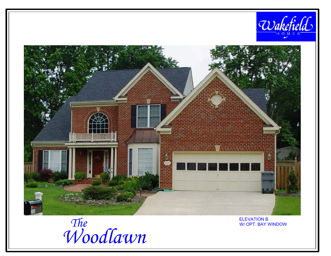



*WoodlawnThe*W/ OPT. BAY WINDOW

ELEVATION BW/ OPT. BAY WINDOW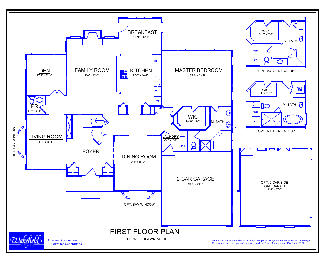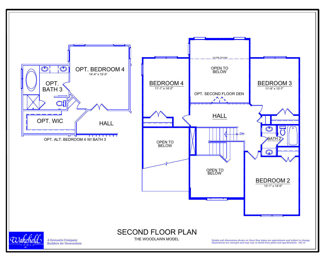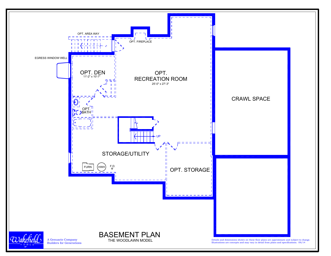